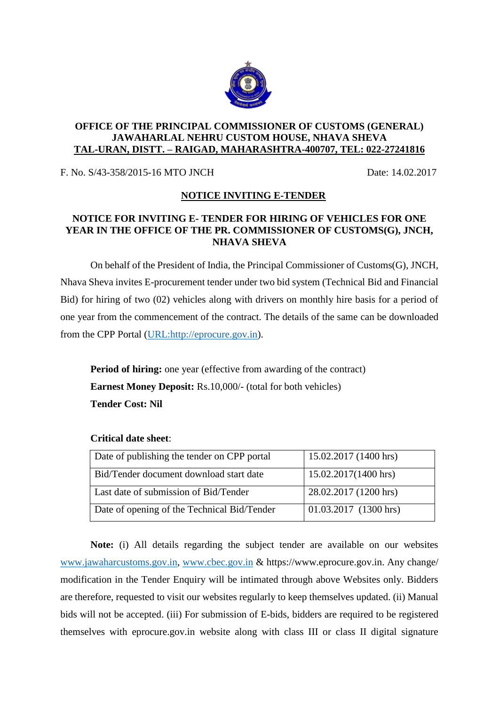

### **OFFICE OF THE PRINCIPAL COMMISSIONER OF CUSTOMS (GENERAL) JAWAHARLAL NEHRU CUSTOM HOUSE, NHAVA SHEVA TAL-URAN, DISTT. – RAIGAD, MAHARASHTRA-400707, TEL: 022-27241816**

F. No. S/43-358/2015-16 MTO JNCH Date: 14.02.2017

# **NOTICE INVITING E-TENDER**

# **NOTICE FOR INVITING E- TENDER FOR HIRING OF VEHICLES FOR ONE YEAR IN THE OFFICE OF THE PR. COMMISSIONER OF CUSTOMS(G), JNCH, NHAVA SHEVA**

On behalf of the President of India, the Principal Commissioner of Customs(G), JNCH, Nhava Sheva invites E-procurement tender under two bid system (Technical Bid and Financial Bid) for hiring of two (02) vehicles along with drivers on monthly hire basis for a period of one year from the commencement of the contract. The details of the same can be downloaded from the CPP Portal [\(URL:http://eprocure.gov.in\)](http://eprocure.gov.in/).

**Period of hiring:** one year (effective from awarding of the contract) **Earnest Money Deposit:** Rs.10,000/- (total for both vehicles) **Tender Cost: Nil**

| Date of publishing the tender on CPP portal | 15.02.2017 (1400 hrs)          |
|---------------------------------------------|--------------------------------|
| Bid/Tender document download start date     | $15.02.2017(1400 \text{ hrs})$ |
| Last date of submission of Bid/Tender       | 28.02.2017 (1200 hrs)          |
| Date of opening of the Technical Bid/Tender | 01.03.2017 (1300 hrs)          |

# **Critical date sheet**:

**Note:** (i) All details regarding the subject tender are available on our websites [www.jawaharcustoms.gov.in,](http://www.jawaharcustoms.gov.in/) [www.cbec.gov.in](http://www.cbec.gov.in/) & https://www.eprocure.gov.in. Any change/ modification in the Tender Enquiry will be intimated through above Websites only. Bidders are therefore, requested to visit our websites regularly to keep themselves updated. (ii) Manual bids will not be accepted. (iii) For submission of E-bids, bidders are required to be registered themselves with eprocure.gov.in website along with class III or class II digital signature